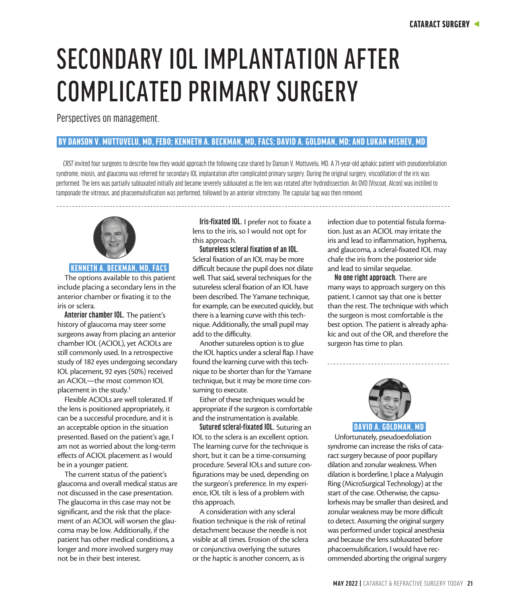# SECONDARY IOL IMPLANTATION AFTER COMPLICATED PRIMARY SURGERY

Perspectives on management.

# BY DANSON V. MUTTUVELU, MD, FEBO; KENNETH A. BECKMAN, MD, FACS; DAVID A. GOLDMAN, MD; AND LUKAN MISHEV, MD

*CRST* invited four surgeons to describe how they would approach the following case shared by Danson V. Muttuvelu, MD. A 71-year-old aphakic patient with pseudoexfoliation syndrome, miosis, and glaucoma was referred for secondary IOL implantation after complicated primary surgery. During the original surgery, viscodilation of the iris was performed. The lens was partially subluxated initially and became severely subluxated as the lens was rotated after hydrodissection. An OVD (Viscoat, Alcon) was instilled to tamponade the vitreous, and phacoemulsification was performed, followed by an anterior vitrectomy. The capsular bag was then removed.



# KENNETH A. BECKMAN, MD, FACS

The options available to this patient include placing a secondary lens in the anterior chamber or fixating it to the iris or sclera.

**Anterior chamber IOL.** The patient's history of glaucoma may steer some surgeons away from placing an anterior chamber IOL (ACIOL), yet ACIOLs are still commonly used. In a retrospective study of 182 eyes undergoing secondary IOL placement, 92 eyes (50%) received an ACIOL—the most common IOL placement in the study.<sup>1</sup>

Flexible ACIOLs are well tolerated. If the lens is positioned appropriately, it can be a successful procedure, and it is an acceptable option in the situation presented. Based on the patient's age, I am not as worried about the long-term effects of ACIOL placement as I would be in a younger patient.

The current status of the patient's glaucoma and overall medical status are not discussed in the case presentation. The glaucoma in this case may not be significant, and the risk that the placement of an ACIOL will worsen the glaucoma may be low. Additionally, if the patient has other medical conditions, a longer and more involved surgery may not be in their best interest.

**Iris-fixated IOL.** I prefer not to fixate a lens to the iris, so I would not opt for this approach.

**Sutureless scleral fixation of an IOL.**  Scleral fixation of an IOL may be more difficult because the pupil does not dilate well. That said, several techniques for the sutureless scleral fixation of an IOL have been described. The Yamane technique, for example, can be executed quickly, but there is a learning curve with this technique. Additionally, the small pupil may add to the difficulty.

Another sutureless option is to glue the IOL haptics under a scleral flap. I have found the learning curve with this technique to be shorter than for the Yamane technique, but it may be more time consuming to execute.

Either of these techniques would be appropriate if the surgeon is comfortable and the instrumentation is available.

**Sutured scleral-fixated IOL.** Suturing an IOL to the sclera is an excellent option. The learning curve for the technique is short, but it can be a time-consuming procedure. Several IOLs and suture configurations may be used, depending on the surgeon's preference. In my experience, IOL tilt is less of a problem with this approach.

A consideration with any scleral fixation technique is the risk of retinal detachment because the needle is not visible at all times. Erosion of the sclera or conjunctiva overlying the sutures or the haptic is another concern, as is

infection due to potential fistula formation. Just as an ACIOL may irritate the iris and lead to inflammation, hyphema, and glaucoma, a scleral-fixated IOL may chafe the iris from the posterior side and lead to similar sequelae.

**No one right approach.** There are many ways to approach surgery on this patient. I cannot say that one is better than the rest. The technique with which the surgeon is most comfortable is the best option. The patient is already aphakic and out of the OR, and therefore the surgeon has time to plan.



Unfortunately, pseudoexfoliation syndrome can increase the risks of cataract surgery because of poor pupillary dilation and zonular weakness. When dilation is borderline, I place a Malyugin Ring (MicroSurgical Technology) at the start of the case. Otherwise, the capsulorhexis may be smaller than desired, and zonular weakness may be more difficult to detect. Assuming the original surgery was performed under topical anesthesia and because the lens subluxated before phacoemulsification, I would have recommended aborting the original surgery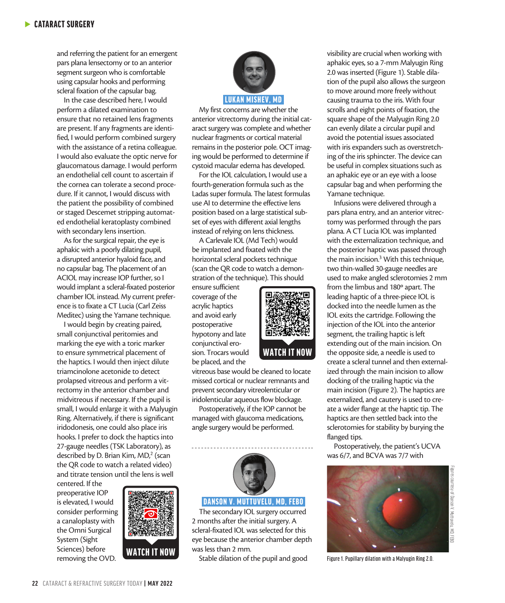and referring the patient for an emergent pars plana lensectomy or to an anterior segment surgeon who is comfortable using capsular hooks and performing scleral fixation of the capsular bag.

In the case described here, I would perform a dilated examination to ensure that no retained lens fragments are present. If any fragments are identified, I would perform combined surgery with the assistance of a retina colleague. I would also evaluate the optic nerve for glaucomatous damage. I would perform an endothelial cell count to ascertain if the cornea can tolerate a second procedure. If it cannot, I would discuss with the patient the possibility of combined or staged Descemet stripping automated endothelial keratoplasty combined with secondary lens insertion.

As for the surgical repair, the eye is aphakic with a poorly dilating pupil, a disrupted anterior hyaloid face, and no capsular bag. The placement of an ACIOL may increase IOP further, so I would implant a scleral-fixated posterior chamber IOL instead. My current preference is to fixate a CT Lucia (Carl Zeiss Meditec) using the Yamane technique.

I would begin by creating paired, small conjunctival peritomies and marking the eye with a toric marker to ensure symmetrical placement of the haptics. I would then inject dilute triamcinolone acetonide to detect prolapsed vitreous and perform a vitrectomy in the anterior chamber and midvitreous if necessary. If the pupil is small, I would enlarge it with a Malyugin Ring. Alternatively, if there is significant iridodonesis, one could also place iris hooks. I prefer to dock the haptics into 27-gauge needles (TSK Laboratory), as described by D. Brian Kim, MD,<sup>2</sup> (scan the QR code to watch a related video) and titrate tension until the lens is well

centered. If the preoperative IOP is elevated, I would consider performing a canaloplasty with the Omni Surgical System (Sight Sciences) before removing the OVD.





My first concerns are whether the anterior vitrectomy during the initial cataract surgery was complete and whether nuclear fragments or cortical material remains in the posterior pole. OCT imaging would be performed to determine if cystoid macular edema has developed.

For the IOL calculation, I would use a fourth-generation formula such as the Ladas super formula. The latest formulas use AI to determine the effective lens position based on a large statistical subset of eyes with different axial lengths instead of relying on lens thickness.

A Carlevale IOL (Md Tech) would be implanted and fixated with the horizontal scleral pockets technique (scan the QR code to watch a demonstration of the technique). This should

ensure sufficient coverage of the acrylic haptics and avoid early postoperative hypotony and late conjunctival erosion. Trocars would be placed, and the



WATCH IT NOW

Postoperatively, if the IOP cannot be managed with glaucoma medications, angle surgery would be performed.



### DANSON V. MUTTUVELU, MD, FEBO

The secondary IOL surgery occurred 2 months after the initial surgery. A scleral-fixated IOL was selected for this eye because the anterior chamber depth was less than 2 mm.

Stable dilation of the pupil and good

visibility are crucial when working with aphakic eyes, so a 7-mm Malyugin Ring 2.0 was inserted (Figure 1). Stable dilation of the pupil also allows the surgeon to move around more freely without causing trauma to the iris. With four scrolls and eight points of fixation, the square shape of the Malyugin Ring 2.0 can evenly dilate a circular pupil and avoid the potential issues associated with iris expanders such as overstretching of the iris sphincter. The device can be useful in complex situations such as an aphakic eye or an eye with a loose capsular bag and when performing the Yamane technique.

Infusions were delivered through a pars plana entry, and an anterior vitrectomy was performed through the pars plana. A CT Lucia IOL was implanted with the externalization technique, and the posterior haptic was passed through the main incision.<sup>3</sup> With this technique, two thin-walled 30-gauge needles are used to make angled sclerotomies 2 mm from the limbus and 180º apart. The leading haptic of a three-piece IOL is docked into the needle lumen as the IOL exits the cartridge. Following the injection of the IOL into the anterior segment, the trailing haptic is left extending out of the main incision. On the opposite side, a needle is used to create a scleral tunnel and then externalized through the main incision to allow docking of the trailing haptic via the main incision (Figure 2). The haptics are externalized, and cautery is used to create a wider flange at the haptic tip. The haptics are then settled back into the sclerotomies for stability by burying the flanged tips.

Postoperatively, the patient's UCVA was 6/7, and BCVA was 7/7 with



Figure 1. Pupillary dilation with a Malyugin Ring 2.0.